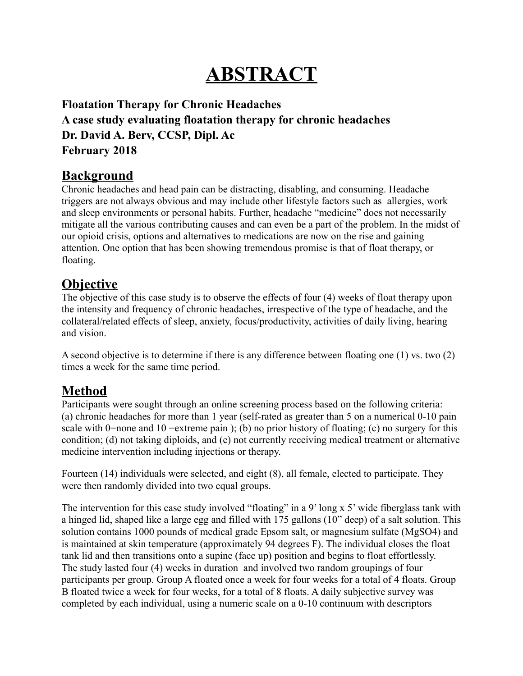# **ABSTRACT**

**Floatation Therapy for Chronic Headaches A case study evaluating floatation therapy for chronic headaches Dr. David A. Berv, CCSP, Dipl. Ac February 2018** 

### **Background**

Chronic headaches and head pain can be distracting, disabling, and consuming. Headache triggers are not always obvious and may include other lifestyle factors such as allergies, work and sleep environments or personal habits. Further, headache "medicine" does not necessarily mitigate all the various contributing causes and can even be a part of the problem. In the midst of our opioid crisis, options and alternatives to medications are now on the rise and gaining attention. One option that has been showing tremendous promise is that of float therapy, or floating.

### **Objective**

The objective of this case study is to observe the effects of four (4) weeks of float therapy upon the intensity and frequency of chronic headaches, irrespective of the type of headache, and the collateral/related effects of sleep, anxiety, focus/productivity, activities of daily living, hearing and vision.

A second objective is to determine if there is any difference between floating one (1) vs. two (2) times a week for the same time period.

## **Method**

Participants were sought through an online screening process based on the following criteria: (a) chronic headaches for more than 1 year (self-rated as greater than 5 on a numerical 0-10 pain scale with 0=none and 10 = extreme pain ); (b) no prior history of floating; (c) no surgery for this condition; (d) not taking diploids, and (e) not currently receiving medical treatment or alternative medicine intervention including injections or therapy.

Fourteen (14) individuals were selected, and eight (8), all female, elected to participate. They were then randomly divided into two equal groups.

The intervention for this case study involved "floating" in a 9' long x 5' wide fiberglass tank with a hinged lid, shaped like a large egg and filled with 175 gallons (10" deep) of a salt solution. This solution contains 1000 pounds of medical grade Epsom salt, or magnesium sulfate (MgSO4) and is maintained at skin temperature (approximately 94 degrees F). The individual closes the float tank lid and then transitions onto a supine (face up) position and begins to float effortlessly. The study lasted four (4) weeks in duration and involved two random groupings of four participants per group. Group A floated once a week for four weeks for a total of 4 floats. Group B floated twice a week for four weeks, for a total of 8 floats. A daily subjective survey was completed by each individual, using a numeric scale on a 0-10 continuum with descriptors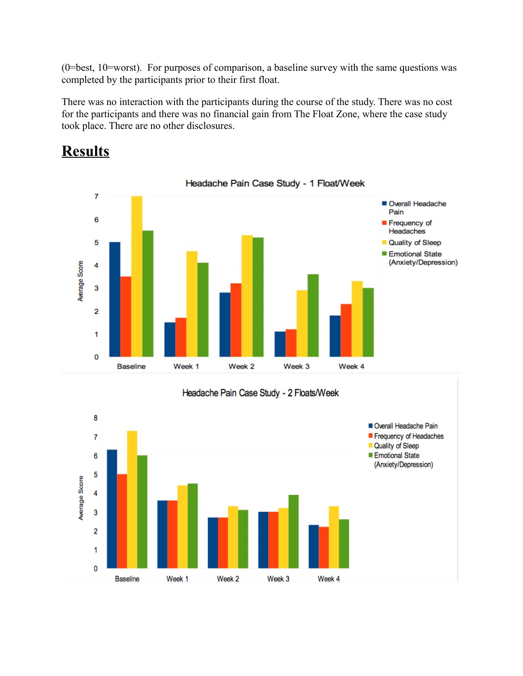(0=best, 10=worst). For purposes of comparison, a baseline survey with the same questions was completed by the participants prior to their first float.

There was no interaction with the participants during the course of the study. There was no cost for the participants and there was no financial gain from The Float Zone, where the case study took place. There are no other disclosures.

# **Results**



#### Headache Pain Case Study - 1 Float/Week